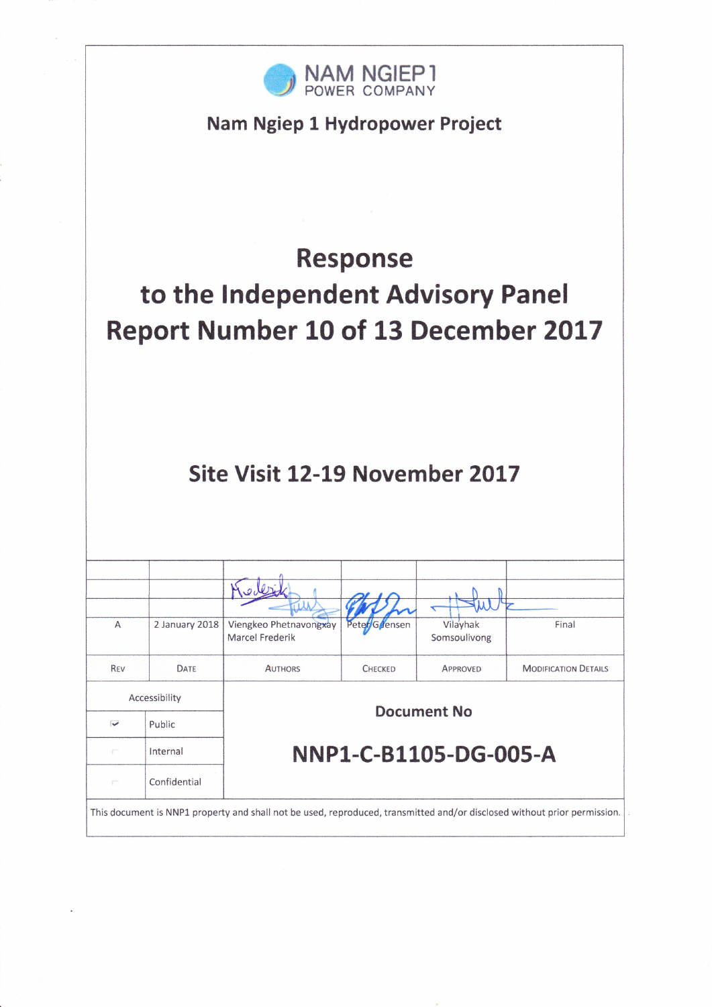

Nam Ngiep 1 Hydropower Project

# **Response** to the Independent Advisory Panel Report Number 10 of 13 December 2017

# Site Visit 12-19 November 2017

| A                                                                                                                        | 2 January 2018 | Viengkeo Phetnavongxay | Peter/G/Jensen | Vilayhak              | Final                       |  |
|--------------------------------------------------------------------------------------------------------------------------|----------------|------------------------|----------------|-----------------------|-----------------------------|--|
|                                                                                                                          |                | Marcel Frederik        |                | Somsoulivong          |                             |  |
| <b>REV</b>                                                                                                               | DATE           | <b>AUTHORS</b>         | <b>CHECKED</b> | APPROVED              | <b>MODIFICATION DETAILS</b> |  |
|                                                                                                                          |                |                        |                |                       |                             |  |
|                                                                                                                          | Accessibility  | <b>Document No</b>     |                |                       |                             |  |
| $\checkmark$                                                                                                             | Public         |                        |                |                       |                             |  |
| F                                                                                                                        | Internal       |                        |                | NNP1-C-B1105-DG-005-A |                             |  |
| $\Gamma^{\rm max}$                                                                                                       | Confidential   |                        |                |                       |                             |  |
| This document is NNP1 property and shall not be used, reproduced, transmitted and/or disclosed without prior permission. |                |                        |                |                       |                             |  |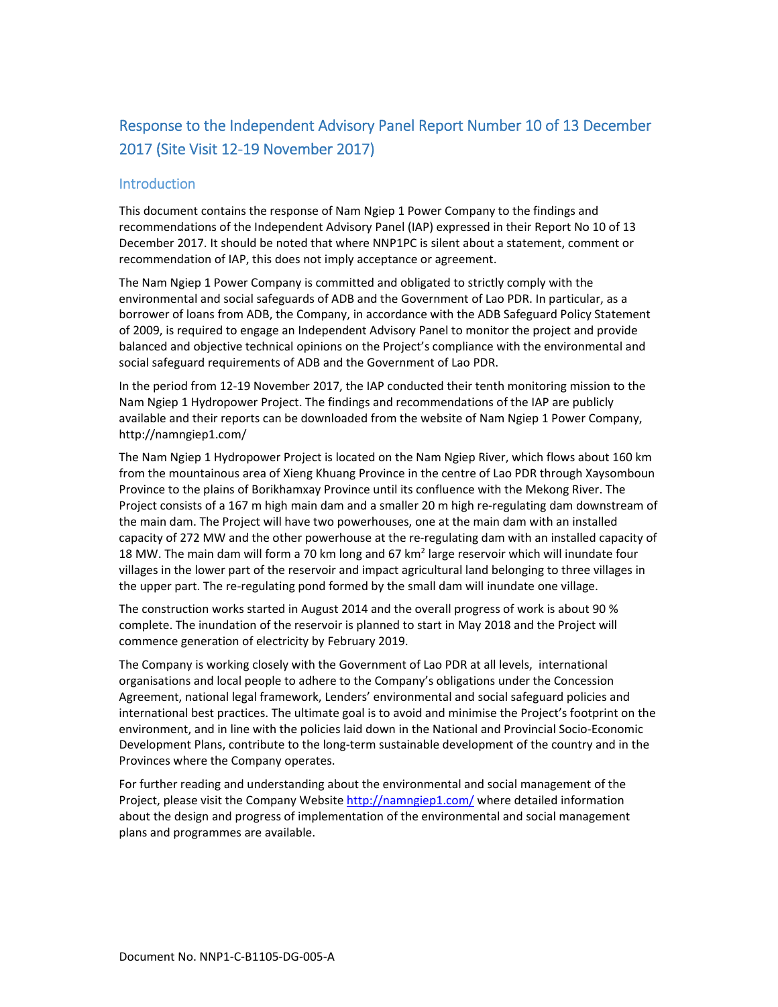## Response to the Independent Advisory Panel Report Number 10 of 13 December 2017 (Site Visit 12‐19 November 2017)

#### **Introduction**

This document contains the response of Nam Ngiep 1 Power Company to the findings and recommendations of the Independent Advisory Panel (IAP) expressed in their Report No 10 of 13 December 2017. It should be noted that where NNP1PC is silent about a statement, comment or recommendation of IAP, this does not imply acceptance or agreement.

The Nam Ngiep 1 Power Company is committed and obligated to strictly comply with the environmental and social safeguards of ADB and the Government of Lao PDR. In particular, as a borrower of loans from ADB, the Company, in accordance with the ADB Safeguard Policy Statement of 2009, is required to engage an Independent Advisory Panel to monitor the project and provide balanced and objective technical opinions on the Project's compliance with the environmental and social safeguard requirements of ADB and the Government of Lao PDR.

In the period from 12‐19 November 2017, the IAP conducted their tenth monitoring mission to the Nam Ngiep 1 Hydropower Project. The findings and recommendations of the IAP are publicly available and their reports can be downloaded from the website of Nam Ngiep 1 Power Company, http://namngiep1.com/

The Nam Ngiep 1 Hydropower Project is located on the Nam Ngiep River, which flows about 160 km from the mountainous area of Xieng Khuang Province in the centre of Lao PDR through Xaysomboun Province to the plains of Borikhamxay Province until its confluence with the Mekong River. The Project consists of a 167 m high main dam and a smaller 20 m high re‐regulating dam downstream of the main dam. The Project will have two powerhouses, one at the main dam with an installed capacity of 272 MW and the other powerhouse at the re-regulating dam with an installed capacity of 18 MW. The main dam will form a 70 km long and 67 km<sup>2</sup> large reservoir which will inundate four villages in the lower part of the reservoir and impact agricultural land belonging to three villages in the upper part. The re-regulating pond formed by the small dam will inundate one village.

The construction works started in August 2014 and the overall progress of work is about 90 % complete. The inundation of the reservoir is planned to start in May 2018 and the Project will commence generation of electricity by February 2019.

The Company is working closely with the Government of Lao PDR at all levels, international organisations and local people to adhere to the Company's obligations under the Concession Agreement, national legal framework, Lenders' environmental and social safeguard policies and international best practices. The ultimate goal is to avoid and minimise the Project's footprint on the environment, and in line with the policies laid down in the National and Provincial Socio‐Economic Development Plans, contribute to the long-term sustainable development of the country and in the Provinces where the Company operates.

For further reading and understanding about the environmental and social management of the Project, please visit the Company Website http://namngiep1.com/ where detailed information about the design and progress of implementation of the environmental and social management plans and programmes are available.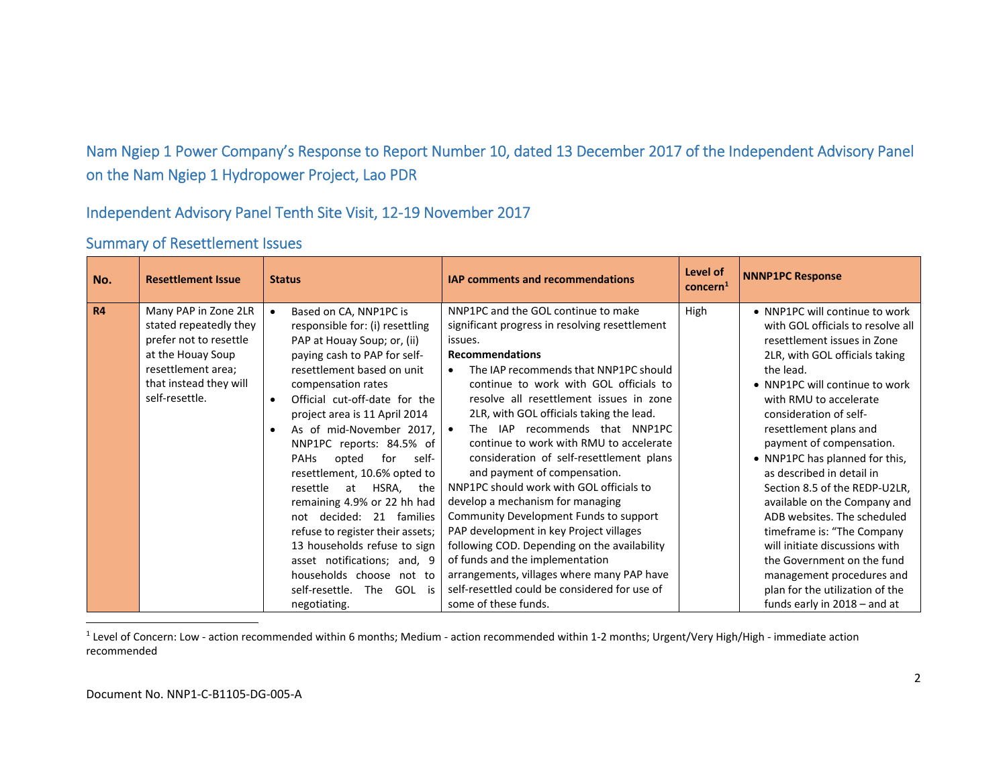# Nam Ngiep 1 Power Company's Response to Report Number 10, dated 13 December 2017 of the Independent Advisory Panel on the Nam Ngiep 1 Hydropower Project, Lao PDR

#### Independent Advisory Panel Tenth Site Visit, 12‐19 November 2017

| No.       | <b>Resettlement Issue</b>                                                                                                                                       | <b>Status</b>                                                                                                                                                                                                                                                                                                                                                                                                                                                                                                                                                                                                                                                           | <b>IAP comments and recommendations</b>                                                                                                                                                                                                                                                                                                                                                                                                                                                                                                                                                                                                                                                                                                                                                                                                                   | Level of<br>concern <sup>1</sup> | <b>NNNP1PC Response</b>                                                                                                                                                                                                                                                                                                                                                                                                                                                                                                                                                                                                                                    |
|-----------|-----------------------------------------------------------------------------------------------------------------------------------------------------------------|-------------------------------------------------------------------------------------------------------------------------------------------------------------------------------------------------------------------------------------------------------------------------------------------------------------------------------------------------------------------------------------------------------------------------------------------------------------------------------------------------------------------------------------------------------------------------------------------------------------------------------------------------------------------------|-----------------------------------------------------------------------------------------------------------------------------------------------------------------------------------------------------------------------------------------------------------------------------------------------------------------------------------------------------------------------------------------------------------------------------------------------------------------------------------------------------------------------------------------------------------------------------------------------------------------------------------------------------------------------------------------------------------------------------------------------------------------------------------------------------------------------------------------------------------|----------------------------------|------------------------------------------------------------------------------------------------------------------------------------------------------------------------------------------------------------------------------------------------------------------------------------------------------------------------------------------------------------------------------------------------------------------------------------------------------------------------------------------------------------------------------------------------------------------------------------------------------------------------------------------------------------|
| <b>R4</b> | Many PAP in Zone 2LR<br>stated repeatedly they<br>prefer not to resettle<br>at the Houay Soup<br>resettlement area;<br>that instead they will<br>self-resettle. | Based on CA, NNP1PC is<br>responsible for: (i) resettling<br>PAP at Houay Soup; or, (ii)<br>paying cash to PAP for self-<br>resettlement based on unit<br>compensation rates<br>Official cut-off-date for the<br>$\bullet$<br>project area is 11 April 2014<br>As of mid-November 2017,<br>NNP1PC reports: 84.5% of<br>for<br><b>PAHs</b><br>opted<br>self-<br>resettlement, 10.6% opted to<br>resettle<br>HSRA,<br>at<br>the<br>remaining 4.9% or 22 hh had<br>not decided: 21 families<br>refuse to register their assets;<br>13 households refuse to sign<br>asset notifications; and, 9<br>households choose not to<br>self-resettle.<br>The GOL is<br>negotiating. | NNP1PC and the GOL continue to make<br>significant progress in resolving resettlement<br>issues.<br><b>Recommendations</b><br>The IAP recommends that NNP1PC should<br>$\bullet$<br>continue to work with GOL officials to<br>resolve all resettlement issues in zone<br>2LR, with GOL officials taking the lead.<br>The IAP recommends that NNP1PC<br>continue to work with RMU to accelerate<br>consideration of self-resettlement plans<br>and payment of compensation.<br>NNP1PC should work with GOL officials to<br>develop a mechanism for managing<br>Community Development Funds to support<br>PAP development in key Project villages<br>following COD. Depending on the availability<br>of funds and the implementation<br>arrangements, villages where many PAP have<br>self-resettled could be considered for use of<br>some of these funds. | High                             | • NNP1PC will continue to work<br>with GOL officials to resolve all<br>resettlement issues in Zone<br>2LR, with GOL officials taking<br>the lead.<br>• NNP1PC will continue to work<br>with RMU to accelerate<br>consideration of self-<br>resettlement plans and<br>payment of compensation.<br>• NNP1PC has planned for this,<br>as described in detail in<br>Section 8.5 of the REDP-U2LR,<br>available on the Company and<br>ADB websites. The scheduled<br>timeframe is: "The Company<br>will initiate discussions with<br>the Government on the fund<br>management procedures and<br>plan for the utilization of the<br>funds early in 2018 - and at |

#### Summary of Resettlement Issues

<sup>1</sup> Level of Concern: Low - action recommended within 6 months; Medium - action recommended within 1-2 months; Urgent/Very High/High - immediate action recommended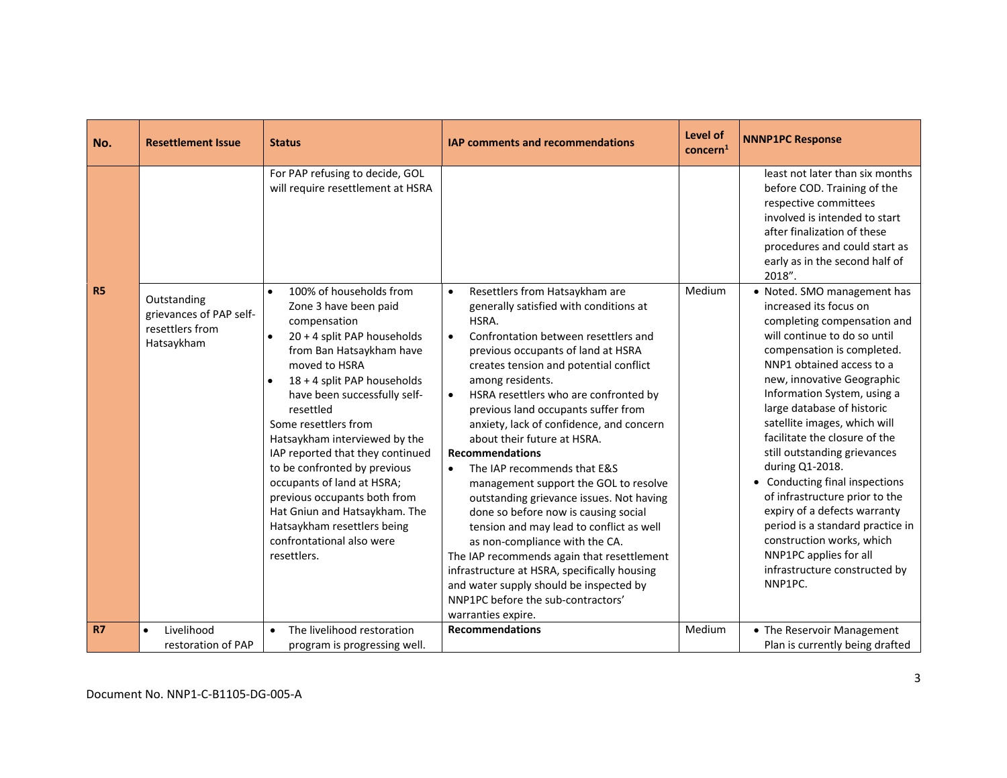| No.       | <b>Resettlement Issue</b>                                               | <b>Status</b>                                                                                                                                                                                                                                                                                                                                                                                                                                                                                                                                                          | <b>IAP comments and recommendations</b>                                                                                                                                                                                                                                                                                                                                                                                                                                                                                                                                                                                                                                                                                                                                                                                                                                                                  | Level of<br>concern <sup>1</sup> | <b>NNNP1PC Response</b>                                                                                                                                                                                                                                                                                                                                                                                                                                                                                                                                                                                                                   |
|-----------|-------------------------------------------------------------------------|------------------------------------------------------------------------------------------------------------------------------------------------------------------------------------------------------------------------------------------------------------------------------------------------------------------------------------------------------------------------------------------------------------------------------------------------------------------------------------------------------------------------------------------------------------------------|----------------------------------------------------------------------------------------------------------------------------------------------------------------------------------------------------------------------------------------------------------------------------------------------------------------------------------------------------------------------------------------------------------------------------------------------------------------------------------------------------------------------------------------------------------------------------------------------------------------------------------------------------------------------------------------------------------------------------------------------------------------------------------------------------------------------------------------------------------------------------------------------------------|----------------------------------|-------------------------------------------------------------------------------------------------------------------------------------------------------------------------------------------------------------------------------------------------------------------------------------------------------------------------------------------------------------------------------------------------------------------------------------------------------------------------------------------------------------------------------------------------------------------------------------------------------------------------------------------|
|           |                                                                         | For PAP refusing to decide, GOL<br>will require resettlement at HSRA                                                                                                                                                                                                                                                                                                                                                                                                                                                                                                   |                                                                                                                                                                                                                                                                                                                                                                                                                                                                                                                                                                                                                                                                                                                                                                                                                                                                                                          |                                  | least not later than six months<br>before COD. Training of the<br>respective committees<br>involved is intended to start<br>after finalization of these<br>procedures and could start as<br>early as in the second half of<br>2018".                                                                                                                                                                                                                                                                                                                                                                                                      |
| <b>R5</b> | Outstanding<br>grievances of PAP self-<br>resettlers from<br>Hatsaykham | 100% of households from<br>$\bullet$<br>Zone 3 have been paid<br>compensation<br>20 + 4 split PAP households<br>$\bullet$<br>from Ban Hatsaykham have<br>moved to HSRA<br>18 + 4 split PAP households<br>$\bullet$<br>have been successfully self-<br>resettled<br>Some resettlers from<br>Hatsaykham interviewed by the<br>IAP reported that they continued<br>to be confronted by previous<br>occupants of land at HSRA;<br>previous occupants both from<br>Hat Gniun and Hatsaykham. The<br>Hatsaykham resettlers being<br>confrontational also were<br>resettlers. | Resettlers from Hatsaykham are<br>$\bullet$<br>generally satisfied with conditions at<br>HSRA.<br>Confrontation between resettlers and<br>$\bullet$<br>previous occupants of land at HSRA<br>creates tension and potential conflict<br>among residents.<br>HSRA resettlers who are confronted by<br>$\bullet$<br>previous land occupants suffer from<br>anxiety, lack of confidence, and concern<br>about their future at HSRA.<br><b>Recommendations</b><br>The IAP recommends that E&S<br>management support the GOL to resolve<br>outstanding grievance issues. Not having<br>done so before now is causing social<br>tension and may lead to conflict as well<br>as non-compliance with the CA.<br>The IAP recommends again that resettlement<br>infrastructure at HSRA, specifically housing<br>and water supply should be inspected by<br>NNP1PC before the sub-contractors'<br>warranties expire. | Medium                           | • Noted. SMO management has<br>increased its focus on<br>completing compensation and<br>will continue to do so until<br>compensation is completed.<br>NNP1 obtained access to a<br>new, innovative Geographic<br>Information System, using a<br>large database of historic<br>satellite images, which will<br>facilitate the closure of the<br>still outstanding grievances<br>during Q1-2018.<br>• Conducting final inspections<br>of infrastructure prior to the<br>expiry of a defects warranty<br>period is a standard practice in<br>construction works, which<br>NNP1PC applies for all<br>infrastructure constructed by<br>NNP1PC. |
| <b>R7</b> | Livelihood<br>$\bullet$                                                 | The livelihood restoration<br>$\bullet$                                                                                                                                                                                                                                                                                                                                                                                                                                                                                                                                | <b>Recommendations</b>                                                                                                                                                                                                                                                                                                                                                                                                                                                                                                                                                                                                                                                                                                                                                                                                                                                                                   | Medium                           | • The Reservoir Management                                                                                                                                                                                                                                                                                                                                                                                                                                                                                                                                                                                                                |
|           | restoration of PAP                                                      | program is progressing well.                                                                                                                                                                                                                                                                                                                                                                                                                                                                                                                                           |                                                                                                                                                                                                                                                                                                                                                                                                                                                                                                                                                                                                                                                                                                                                                                                                                                                                                                          |                                  | Plan is currently being drafted                                                                                                                                                                                                                                                                                                                                                                                                                                                                                                                                                                                                           |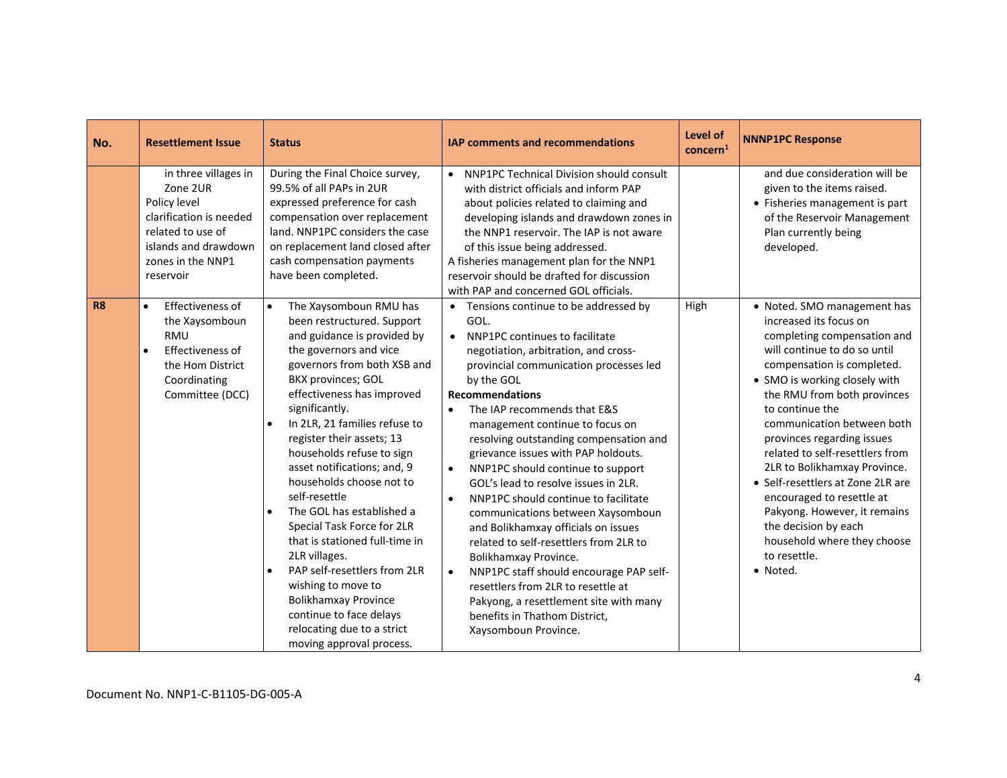| No.       | <b>Resettlement Issue</b>                                                                                                                                  | <b>Status</b>                                                                                                                                                                                                                                                                                                                                                                                                                                                                                                                                                                                                                                                                                                                         | <b>IAP comments and recommendations</b>                                                                                                                                                                                                                                                                                                                                                                                                                                                                                                                                                                                                                                                                                                                                                                                                                                                | Level of<br>concern <sup>1</sup> | <b>NNNP1PC Response</b>                                                                                                                                                                                                                                                                                                                                                                                                                                                                                                                                   |
|-----------|------------------------------------------------------------------------------------------------------------------------------------------------------------|---------------------------------------------------------------------------------------------------------------------------------------------------------------------------------------------------------------------------------------------------------------------------------------------------------------------------------------------------------------------------------------------------------------------------------------------------------------------------------------------------------------------------------------------------------------------------------------------------------------------------------------------------------------------------------------------------------------------------------------|----------------------------------------------------------------------------------------------------------------------------------------------------------------------------------------------------------------------------------------------------------------------------------------------------------------------------------------------------------------------------------------------------------------------------------------------------------------------------------------------------------------------------------------------------------------------------------------------------------------------------------------------------------------------------------------------------------------------------------------------------------------------------------------------------------------------------------------------------------------------------------------|----------------------------------|-----------------------------------------------------------------------------------------------------------------------------------------------------------------------------------------------------------------------------------------------------------------------------------------------------------------------------------------------------------------------------------------------------------------------------------------------------------------------------------------------------------------------------------------------------------|
|           | in three villages in<br>Zone 2UR<br>Policy level<br>clarification is needed<br>related to use of<br>islands and drawdown<br>zones in the NNP1<br>reservoir | During the Final Choice survey,<br>99.5% of all PAPs in 2UR<br>expressed preference for cash<br>compensation over replacement<br>land. NNP1PC considers the case<br>on replacement land closed after<br>cash compensation payments<br>have been completed.                                                                                                                                                                                                                                                                                                                                                                                                                                                                            | NNP1PC Technical Division should consult<br>$\bullet$<br>with district officials and inform PAP<br>about policies related to claiming and<br>developing islands and drawdown zones in<br>the NNP1 reservoir. The IAP is not aware<br>of this issue being addressed.<br>A fisheries management plan for the NNP1<br>reservoir should be drafted for discussion<br>with PAP and concerned GOL officials.                                                                                                                                                                                                                                                                                                                                                                                                                                                                                 |                                  | and due consideration will be<br>given to the items raised.<br>• Fisheries management is part<br>of the Reservoir Management<br>Plan currently being<br>developed.                                                                                                                                                                                                                                                                                                                                                                                        |
| <b>R8</b> | Effectiveness of<br>$\bullet$<br>the Xaysomboun<br><b>RMU</b><br>Effectiveness of<br>the Hom District<br>Coordinating<br>Committee (DCC)                   | The Xaysomboun RMU has<br>$\bullet$<br>been restructured. Support<br>and guidance is provided by<br>the governors and vice<br>governors from both XSB and<br>BKX provinces; GOL<br>effectiveness has improved<br>significantly.<br>In 2LR, 21 families refuse to<br>$\bullet$<br>register their assets; 13<br>households refuse to sign<br>asset notifications; and, 9<br>households choose not to<br>self-resettle<br>The GOL has established a<br>$\bullet$<br>Special Task Force for 2LR<br>that is stationed full-time in<br>2LR villages.<br>PAP self-resettlers from 2LR<br>$\bullet$<br>wishing to move to<br><b>Bolikhamxay Province</b><br>continue to face delays<br>relocating due to a strict<br>moving approval process. | • Tensions continue to be addressed by<br>GOL.<br>NNP1PC continues to facilitate<br>$\bullet$<br>negotiation, arbitration, and cross-<br>provincial communication processes led<br>by the GOL<br><b>Recommendations</b><br>The IAP recommends that E&S<br>$\bullet$<br>management continue to focus on<br>resolving outstanding compensation and<br>grievance issues with PAP holdouts.<br>NNP1PC should continue to support<br>$\bullet$<br>GOL's lead to resolve issues in 2LR.<br>NNP1PC should continue to facilitate<br>$\bullet$<br>communications between Xaysomboun<br>and Bolikhamxay officials on issues<br>related to self-resettlers from 2LR to<br>Bolikhamxay Province.<br>NNP1PC staff should encourage PAP self-<br>$\bullet$<br>resettlers from 2LR to resettle at<br>Pakyong, a resettlement site with many<br>benefits in Thathom District.<br>Xaysomboun Province. | High                             | • Noted. SMO management has<br>increased its focus on<br>completing compensation and<br>will continue to do so until<br>compensation is completed.<br>• SMO is working closely with<br>the RMU from both provinces<br>to continue the<br>communication between both<br>provinces regarding issues<br>related to self-resettlers from<br>2LR to Bolikhamxay Province.<br>• Self-resettlers at Zone 2LR are<br>encouraged to resettle at<br>Pakyong. However, it remains<br>the decision by each<br>household where they choose<br>to resettle.<br>• Noted. |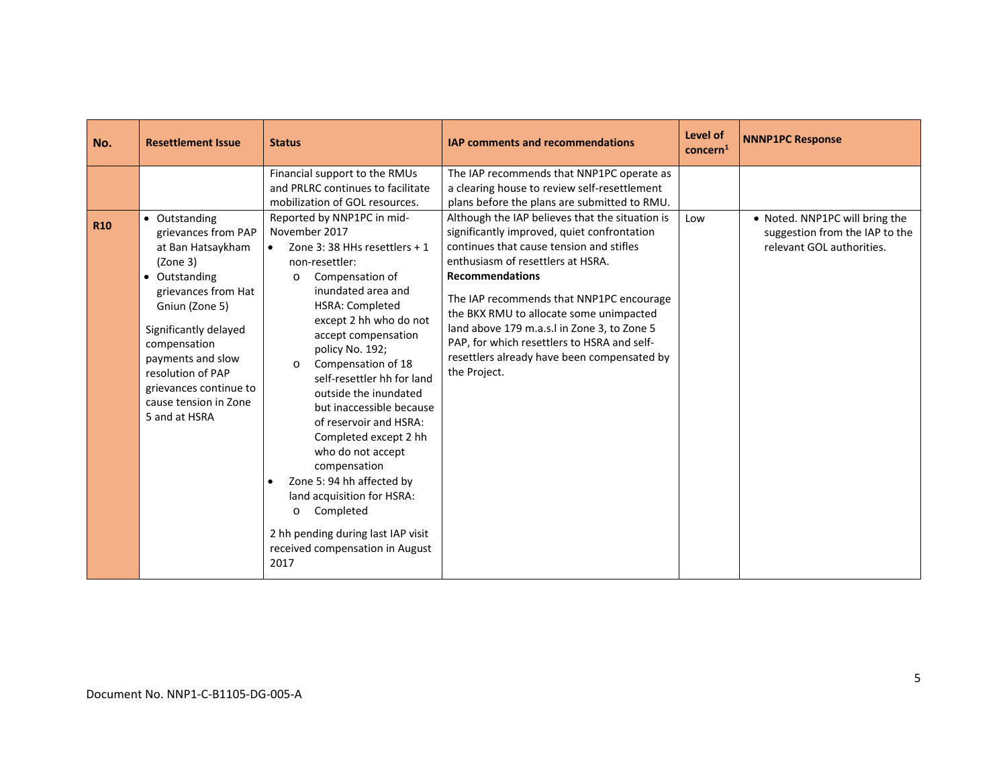| No.        | <b>Resettlement Issue</b>                                                                                                                                                                                                                                                              | <b>Status</b>                                                                                                                                                                                                                                                                                                                                                                                                                                                                                                                                                                                                                                                                                                                                                | <b>IAP comments and recommendations</b>                                                                                                                                                                                                                                                                                                                                                                                                                                                                                                                                                                    | Level of<br>concern <sup>1</sup> | <b>NNNP1PC Response</b>                                                                       |
|------------|----------------------------------------------------------------------------------------------------------------------------------------------------------------------------------------------------------------------------------------------------------------------------------------|--------------------------------------------------------------------------------------------------------------------------------------------------------------------------------------------------------------------------------------------------------------------------------------------------------------------------------------------------------------------------------------------------------------------------------------------------------------------------------------------------------------------------------------------------------------------------------------------------------------------------------------------------------------------------------------------------------------------------------------------------------------|------------------------------------------------------------------------------------------------------------------------------------------------------------------------------------------------------------------------------------------------------------------------------------------------------------------------------------------------------------------------------------------------------------------------------------------------------------------------------------------------------------------------------------------------------------------------------------------------------------|----------------------------------|-----------------------------------------------------------------------------------------------|
| <b>R10</b> | • Outstanding<br>grievances from PAP<br>at Ban Hatsaykham<br>(Zone 3)<br>• Outstanding<br>grievances from Hat<br>Gniun (Zone 5)<br>Significantly delayed<br>compensation<br>payments and slow<br>resolution of PAP<br>grievances continue to<br>cause tension in Zone<br>5 and at HSRA | Financial support to the RMUs<br>and PRLRC continues to facilitate<br>mobilization of GOL resources.<br>Reported by NNP1PC in mid-<br>November 2017<br>Zone 3:38 HHs resettlers $+1$<br>$\bullet$<br>non-resettler:<br>Compensation of<br>$\circ$<br>inundated area and<br>HSRA: Completed<br>except 2 hh who do not<br>accept compensation<br>policy No. 192;<br>Compensation of 18<br>$\Omega$<br>self-resettler hh for land<br>outside the inundated<br>but inaccessible because<br>of reservoir and HSRA:<br>Completed except 2 hh<br>who do not accept<br>compensation<br>Zone 5: 94 hh affected by<br>$\bullet$<br>land acquisition for HSRA:<br>Completed<br>$\circ$<br>2 hh pending during last IAP visit<br>received compensation in August<br>2017 | The IAP recommends that NNP1PC operate as<br>a clearing house to review self-resettlement<br>plans before the plans are submitted to RMU.<br>Although the IAP believes that the situation is<br>significantly improved, quiet confrontation<br>continues that cause tension and stifles<br>enthusiasm of resettlers at HSRA.<br><b>Recommendations</b><br>The IAP recommends that NNP1PC encourage<br>the BKX RMU to allocate some unimpacted<br>land above 179 m.a.s.l in Zone 3, to Zone 5<br>PAP, for which resettlers to HSRA and self-<br>resettlers already have been compensated by<br>the Project. | Low                              | • Noted. NNP1PC will bring the<br>suggestion from the IAP to the<br>relevant GOL authorities. |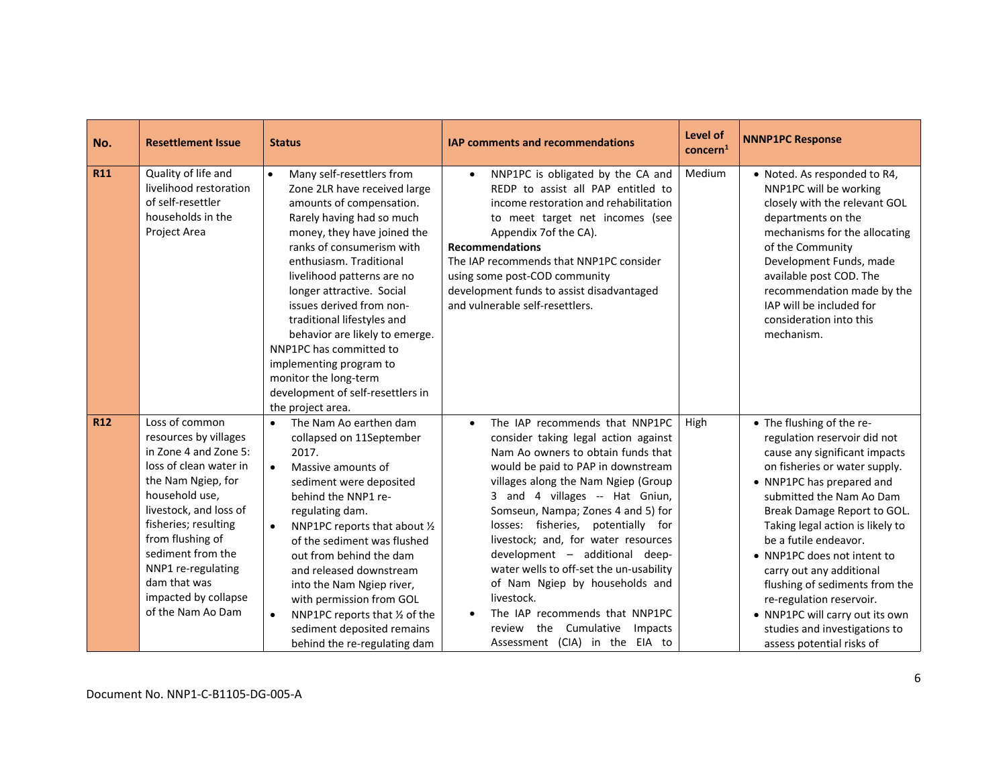| No.        | <b>Resettlement Issue</b>                                                                                                                                                                                                                                                                                        | <b>Status</b>                                                                                                                                                                                                                                                                                                                                                                                                                                                                                                          | <b>IAP comments and recommendations</b>                                                                                                                                                                                                                                                                                                                                                                                                                                                                                                                                                | <b>Level of</b><br>concern <sup>1</sup> | <b>NNNP1PC Response</b>                                                                                                                                                                                                                                                                                                                                                                                                                                                                                    |
|------------|------------------------------------------------------------------------------------------------------------------------------------------------------------------------------------------------------------------------------------------------------------------------------------------------------------------|------------------------------------------------------------------------------------------------------------------------------------------------------------------------------------------------------------------------------------------------------------------------------------------------------------------------------------------------------------------------------------------------------------------------------------------------------------------------------------------------------------------------|----------------------------------------------------------------------------------------------------------------------------------------------------------------------------------------------------------------------------------------------------------------------------------------------------------------------------------------------------------------------------------------------------------------------------------------------------------------------------------------------------------------------------------------------------------------------------------------|-----------------------------------------|------------------------------------------------------------------------------------------------------------------------------------------------------------------------------------------------------------------------------------------------------------------------------------------------------------------------------------------------------------------------------------------------------------------------------------------------------------------------------------------------------------|
| <b>R11</b> | Quality of life and<br>livelihood restoration<br>of self-resettler<br>households in the<br>Project Area                                                                                                                                                                                                          | Many self-resettlers from<br>$\bullet$<br>Zone 2LR have received large<br>amounts of compensation.<br>Rarely having had so much<br>money, they have joined the<br>ranks of consumerism with<br>enthusiasm. Traditional<br>livelihood patterns are no<br>longer attractive. Social<br>issues derived from non-<br>traditional lifestyles and<br>behavior are likely to emerge.<br>NNP1PC has committed to<br>implementing program to<br>monitor the long-term<br>development of self-resettlers in<br>the project area. | NNP1PC is obligated by the CA and<br>REDP to assist all PAP entitled to<br>income restoration and rehabilitation<br>to meet target net incomes (see<br>Appendix 7of the CA).<br><b>Recommendations</b><br>The IAP recommends that NNP1PC consider<br>using some post-COD community<br>development funds to assist disadvantaged<br>and vulnerable self-resettlers.                                                                                                                                                                                                                     | Medium                                  | • Noted. As responded to R4,<br>NNP1PC will be working<br>closely with the relevant GOL<br>departments on the<br>mechanisms for the allocating<br>of the Community<br>Development Funds, made<br>available post COD. The<br>recommendation made by the<br>IAP will be included for<br>consideration into this<br>mechanism.                                                                                                                                                                                |
| <b>R12</b> | Loss of common<br>resources by villages<br>in Zone 4 and Zone 5:<br>loss of clean water in<br>the Nam Ngiep, for<br>household use,<br>livestock, and loss of<br>fisheries; resulting<br>from flushing of<br>sediment from the<br>NNP1 re-regulating<br>dam that was<br>impacted by collapse<br>of the Nam Ao Dam | The Nam Ao earthen dam<br>$\bullet$<br>collapsed on 11September<br>2017.<br>Massive amounts of<br>$\bullet$<br>sediment were deposited<br>behind the NNP1 re-<br>regulating dam.<br>NNP1PC reports that about 1/2<br>$\bullet$<br>of the sediment was flushed<br>out from behind the dam<br>and released downstream<br>into the Nam Ngiep river,<br>with permission from GOL<br>NNP1PC reports that 1/2 of the<br>$\bullet$<br>sediment deposited remains<br>behind the re-regulating dam                              | The IAP recommends that NNP1PC<br>consider taking legal action against<br>Nam Ao owners to obtain funds that<br>would be paid to PAP in downstream<br>villages along the Nam Ngiep (Group<br>3 and 4 villages -- Hat Gniun,<br>Somseun, Nampa; Zones 4 and 5) for<br>losses: fisheries, potentially for<br>livestock; and, for water resources<br>development - additional deep-<br>water wells to off-set the un-usability<br>of Nam Ngiep by households and<br>livestock.<br>The IAP recommends that NNP1PC<br>the Cumulative<br>review<br>Impacts<br>Assessment (CIA) in the EIA to | High                                    | • The flushing of the re-<br>regulation reservoir did not<br>cause any significant impacts<br>on fisheries or water supply.<br>• NNP1PC has prepared and<br>submitted the Nam Ao Dam<br>Break Damage Report to GOL.<br>Taking legal action is likely to<br>be a futile endeavor.<br>• NNP1PC does not intent to<br>carry out any additional<br>flushing of sediments from the<br>re-regulation reservoir.<br>• NNP1PC will carry out its own<br>studies and investigations to<br>assess potential risks of |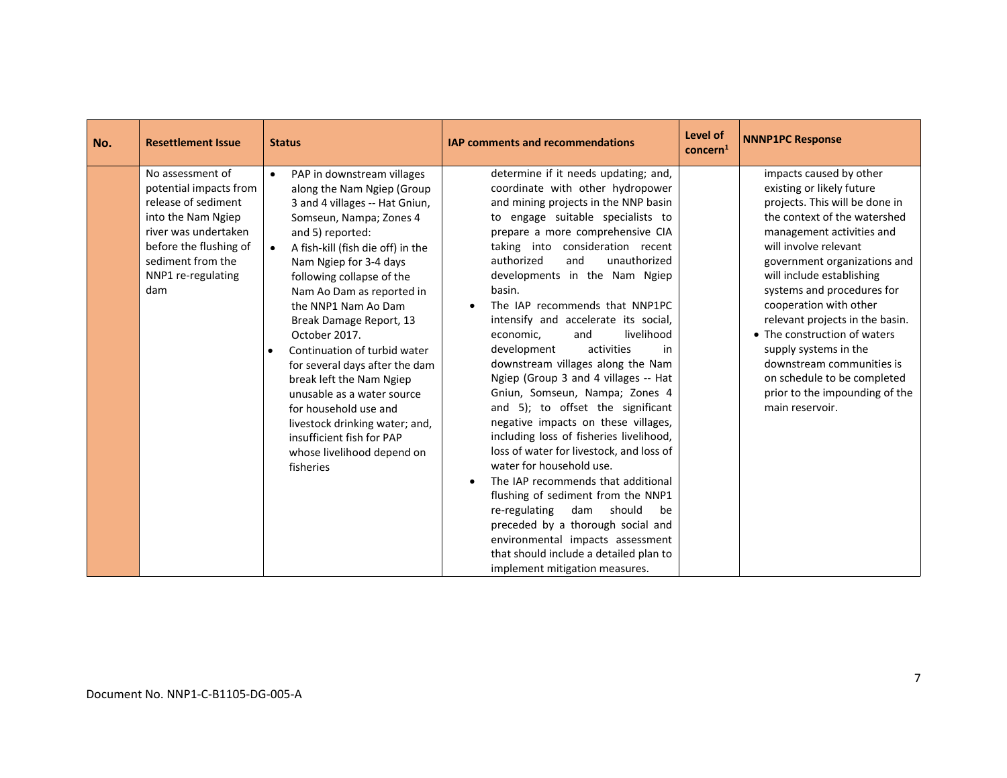| No. | <b>Resettlement Issue</b>                                                                                                                                                                   | <b>Status</b>                                                                                                                                                                                                                                                                                                                                                                                                                                                                                                                                                                                                                               | <b>IAP comments and recommendations</b>                                                                                                                                                                                                                                                                                                                                                                                                                                                                                                                                                                                                                                                                                                                                                                                                                                                                                                                                                                                                                          | Level of<br>concern <sup>1</sup> | <b>NNNP1PC Response</b>                                                                                                                                                                                                                                                                                                                                                                                                                                                                                        |
|-----|---------------------------------------------------------------------------------------------------------------------------------------------------------------------------------------------|---------------------------------------------------------------------------------------------------------------------------------------------------------------------------------------------------------------------------------------------------------------------------------------------------------------------------------------------------------------------------------------------------------------------------------------------------------------------------------------------------------------------------------------------------------------------------------------------------------------------------------------------|------------------------------------------------------------------------------------------------------------------------------------------------------------------------------------------------------------------------------------------------------------------------------------------------------------------------------------------------------------------------------------------------------------------------------------------------------------------------------------------------------------------------------------------------------------------------------------------------------------------------------------------------------------------------------------------------------------------------------------------------------------------------------------------------------------------------------------------------------------------------------------------------------------------------------------------------------------------------------------------------------------------------------------------------------------------|----------------------------------|----------------------------------------------------------------------------------------------------------------------------------------------------------------------------------------------------------------------------------------------------------------------------------------------------------------------------------------------------------------------------------------------------------------------------------------------------------------------------------------------------------------|
|     | No assessment of<br>potential impacts from<br>release of sediment<br>into the Nam Ngiep<br>river was undertaken<br>before the flushing of<br>sediment from the<br>NNP1 re-regulating<br>dam | PAP in downstream villages<br>$\bullet$<br>along the Nam Ngiep (Group<br>3 and 4 villages -- Hat Gniun,<br>Somseun, Nampa; Zones 4<br>and 5) reported:<br>A fish-kill (fish die off) in the<br>$\bullet$<br>Nam Ngiep for 3-4 days<br>following collapse of the<br>Nam Ao Dam as reported in<br>the NNP1 Nam Ao Dam<br>Break Damage Report, 13<br>October 2017.<br>Continuation of turbid water<br>$\bullet$<br>for several days after the dam<br>break left the Nam Ngiep<br>unusable as a water source<br>for household use and<br>livestock drinking water; and,<br>insufficient fish for PAP<br>whose livelihood depend on<br>fisheries | determine if it needs updating; and,<br>coordinate with other hydropower<br>and mining projects in the NNP basin<br>to engage suitable specialists to<br>prepare a more comprehensive CIA<br>taking into consideration recent<br>authorized<br>unauthorized<br>and<br>developments in the Nam Ngiep<br>basin.<br>The IAP recommends that NNP1PC<br>intensify and accelerate its social,<br>livelihood<br>economic,<br>and<br>development<br>activities<br>in<br>downstream villages along the Nam<br>Ngiep (Group 3 and 4 villages -- Hat<br>Gniun, Somseun, Nampa; Zones 4<br>and 5); to offset the significant<br>negative impacts on these villages,<br>including loss of fisheries livelihood,<br>loss of water for livestock, and loss of<br>water for household use.<br>The IAP recommends that additional<br>$\bullet$<br>flushing of sediment from the NNP1<br>re-regulating<br>dam<br>should<br>be<br>preceded by a thorough social and<br>environmental impacts assessment<br>that should include a detailed plan to<br>implement mitigation measures. |                                  | impacts caused by other<br>existing or likely future<br>projects. This will be done in<br>the context of the watershed<br>management activities and<br>will involve relevant<br>government organizations and<br>will include establishing<br>systems and procedures for<br>cooperation with other<br>relevant projects in the basin.<br>• The construction of waters<br>supply systems in the<br>downstream communities is<br>on schedule to be completed<br>prior to the impounding of the<br>main reservoir. |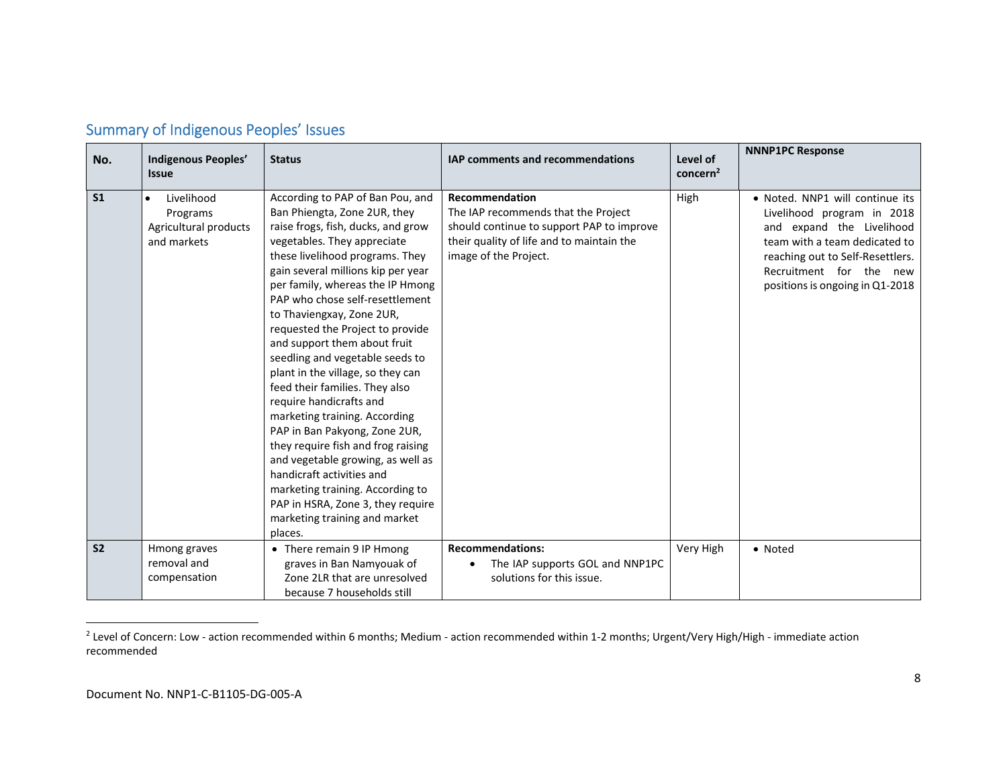| No.            | Indigenous Peoples'<br><b>Issue</b>                            | <b>Status</b>                                                                                                                                                                                                                                                                                                                                                                                                                                                                                                                                                                                                                                                                                                                                                                                                              | <b>IAP comments and recommendations</b>                                                                                                                                  | Level of<br>concern <sup>2</sup> | <b>NNNP1PC Response</b>                                                                                                                                                                                                       |
|----------------|----------------------------------------------------------------|----------------------------------------------------------------------------------------------------------------------------------------------------------------------------------------------------------------------------------------------------------------------------------------------------------------------------------------------------------------------------------------------------------------------------------------------------------------------------------------------------------------------------------------------------------------------------------------------------------------------------------------------------------------------------------------------------------------------------------------------------------------------------------------------------------------------------|--------------------------------------------------------------------------------------------------------------------------------------------------------------------------|----------------------------------|-------------------------------------------------------------------------------------------------------------------------------------------------------------------------------------------------------------------------------|
| S <sub>1</sub> | Livelihood<br>Programs<br>Agricultural products<br>and markets | According to PAP of Ban Pou, and<br>Ban Phiengta, Zone 2UR, they<br>raise frogs, fish, ducks, and grow<br>vegetables. They appreciate<br>these livelihood programs. They<br>gain several millions kip per year<br>per family, whereas the IP Hmong<br>PAP who chose self-resettlement<br>to Thaviengxay, Zone 2UR,<br>requested the Project to provide<br>and support them about fruit<br>seedling and vegetable seeds to<br>plant in the village, so they can<br>feed their families. They also<br>require handicrafts and<br>marketing training. According<br>PAP in Ban Pakyong, Zone 2UR,<br>they require fish and frog raising<br>and vegetable growing, as well as<br>handicraft activities and<br>marketing training. According to<br>PAP in HSRA, Zone 3, they require<br>marketing training and market<br>places. | Recommendation<br>The IAP recommends that the Project<br>should continue to support PAP to improve<br>their quality of life and to maintain the<br>image of the Project. | High                             | · Noted. NNP1 will continue its<br>Livelihood program in 2018<br>and expand the Livelihood<br>team with a team dedicated to<br>reaching out to Self-Resettlers.<br>Recruitment for the new<br>positions is ongoing in Q1-2018 |
| S <sub>2</sub> | Hmong graves                                                   | • There remain 9 IP Hmong                                                                                                                                                                                                                                                                                                                                                                                                                                                                                                                                                                                                                                                                                                                                                                                                  | <b>Recommendations:</b>                                                                                                                                                  | Very High                        | • Noted                                                                                                                                                                                                                       |
|                | removal and<br>compensation                                    | graves in Ban Namyouak of<br>Zone 2LR that are unresolved                                                                                                                                                                                                                                                                                                                                                                                                                                                                                                                                                                                                                                                                                                                                                                  | The IAP supports GOL and NNP1PC<br>solutions for this issue.                                                                                                             |                                  |                                                                                                                                                                                                                               |
|                |                                                                | because 7 households still                                                                                                                                                                                                                                                                                                                                                                                                                                                                                                                                                                                                                                                                                                                                                                                                 |                                                                                                                                                                          |                                  |                                                                                                                                                                                                                               |

## Summary of Indigenous Peoples' Issues

<sup>&</sup>lt;sup>2</sup> Level of Concern: Low - action recommended within 6 months; Medium - action recommended within 1-2 months; Urgent/Very High/High - immediate action recommended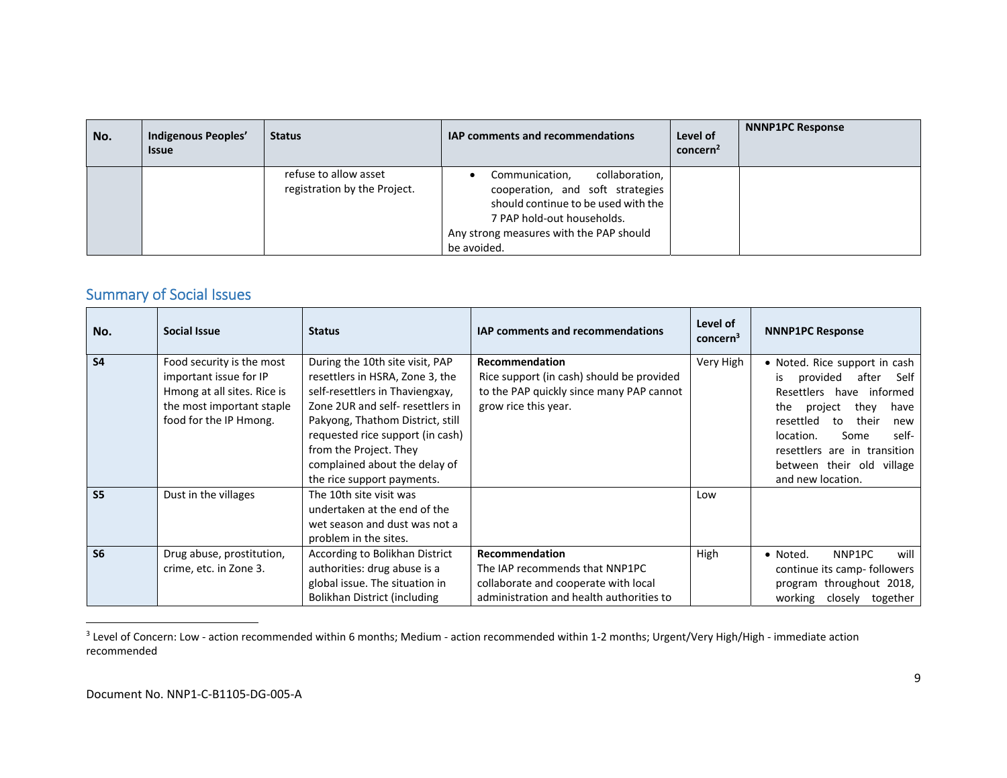| No. | Indigenous Peoples'<br><b>Issue</b> | <b>Status</b>                                         | <b>IAP comments and recommendations</b>                                                                                                                                                             | Level of<br>concern <sup>2</sup> | <b>NNNP1PC Response</b> |
|-----|-------------------------------------|-------------------------------------------------------|-----------------------------------------------------------------------------------------------------------------------------------------------------------------------------------------------------|----------------------------------|-------------------------|
|     |                                     | refuse to allow asset<br>registration by the Project. | collaboration,<br>Communication,<br>cooperation, and soft strategies<br>should continue to be used with the<br>7 PAP hold-out households.<br>Any strong measures with the PAP should<br>be avoided. |                                  |                         |

## Summary of Social Issues

| No.            | Social Issue                                                                                                                              | <b>Status</b>                                                                                                                                                                                                                                                                                             | <b>IAP comments and recommendations</b>                                                                                              | Level of<br>concern <sup>3</sup> | <b>NNNP1PC Response</b>                                                                                                                                                                                                                                                               |
|----------------|-------------------------------------------------------------------------------------------------------------------------------------------|-----------------------------------------------------------------------------------------------------------------------------------------------------------------------------------------------------------------------------------------------------------------------------------------------------------|--------------------------------------------------------------------------------------------------------------------------------------|----------------------------------|---------------------------------------------------------------------------------------------------------------------------------------------------------------------------------------------------------------------------------------------------------------------------------------|
| <b>S4</b>      | Food security is the most<br>important issue for IP<br>Hmong at all sites. Rice is<br>the most important staple<br>food for the IP Hmong. | During the 10th site visit, PAP<br>resettlers in HSRA, Zone 3, the<br>self-resettlers in Thaviengxay,<br>Zone 2UR and self-resettlers in<br>Pakyong, Thathom District, still<br>requested rice support (in cash)<br>from the Project. They<br>complained about the delay of<br>the rice support payments. | Recommendation<br>Rice support (in cash) should be provided<br>to the PAP quickly since many PAP cannot<br>grow rice this year.      | Very High                        | • Noted. Rice support in cash<br>provided<br>after<br>Self<br>is.<br>Resettlers have<br>informed<br>they<br>the<br>project<br>have<br>their<br>resettled<br>to<br>new<br>location.<br>self-<br>Some<br>resettlers are in transition<br>between their old village<br>and new location. |
| S <sub>5</sub> | Dust in the villages                                                                                                                      | The 10th site visit was<br>undertaken at the end of the<br>wet season and dust was not a<br>problem in the sites.                                                                                                                                                                                         |                                                                                                                                      | Low                              |                                                                                                                                                                                                                                                                                       |
| S <sub>6</sub> | Drug abuse, prostitution,<br>crime, etc. in Zone 3.                                                                                       | According to Bolikhan District<br>authorities: drug abuse is a<br>global issue. The situation in<br>Bolikhan District (including                                                                                                                                                                          | Recommendation<br>The IAP recommends that NNP1PC<br>collaborate and cooperate with local<br>administration and health authorities to | High                             | NNP1PC<br>will<br>• Noted.<br>continue its camp- followers<br>program throughout 2018,<br>working<br>closely<br>together                                                                                                                                                              |

 $3$  Level of Concern: Low - action recommended within 6 months; Medium - action recommended within 1-2 months; Urgent/Very High/High - immediate action recommended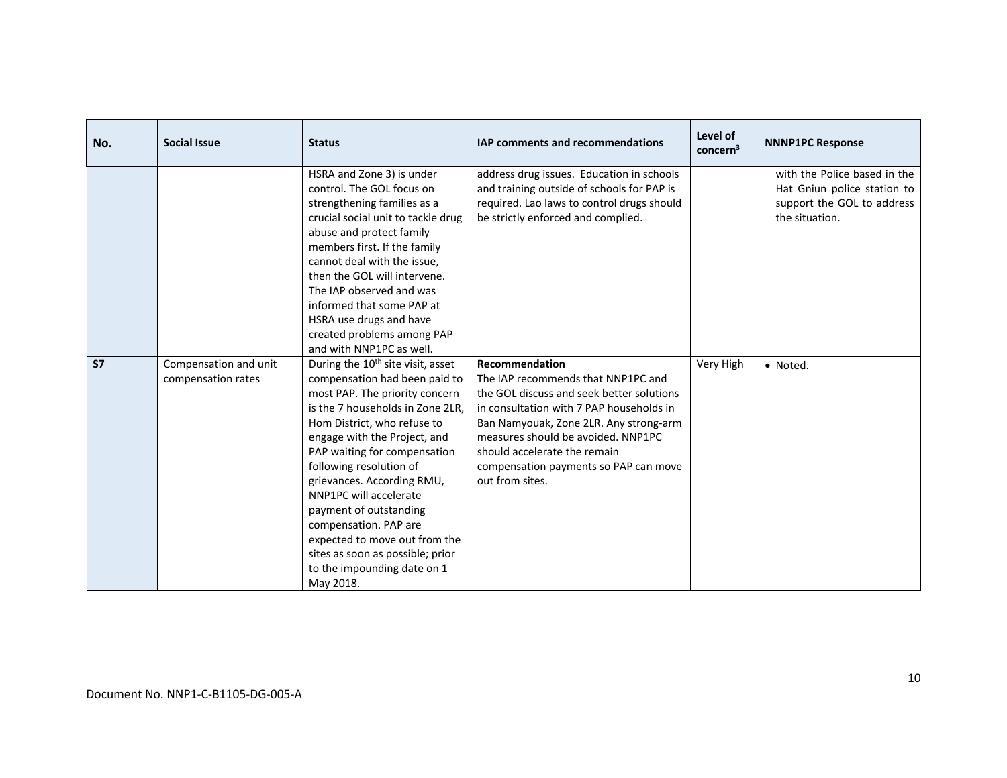| No.       | <b>Social Issue</b>                         | <b>Status</b>                                                                                                                                                                                                                                                                                                                                                                                                                                                                                              | <b>IAP comments and recommendations</b>                                                                                                                                                                                                                                                                                   | Level of<br>concern <sup>3</sup> | <b>NNNP1PC Response</b>                                                                                     |
|-----------|---------------------------------------------|------------------------------------------------------------------------------------------------------------------------------------------------------------------------------------------------------------------------------------------------------------------------------------------------------------------------------------------------------------------------------------------------------------------------------------------------------------------------------------------------------------|---------------------------------------------------------------------------------------------------------------------------------------------------------------------------------------------------------------------------------------------------------------------------------------------------------------------------|----------------------------------|-------------------------------------------------------------------------------------------------------------|
|           |                                             | HSRA and Zone 3) is under<br>control. The GOL focus on<br>strengthening families as a<br>crucial social unit to tackle drug<br>abuse and protect family<br>members first. If the family<br>cannot deal with the issue,<br>then the GOL will intervene.<br>The IAP observed and was<br>informed that some PAP at<br>HSRA use drugs and have<br>created problems among PAP<br>and with NNP1PC as well.                                                                                                       | address drug issues. Education in schools<br>and training outside of schools for PAP is<br>required. Lao laws to control drugs should<br>be strictly enforced and complied.                                                                                                                                               |                                  | with the Police based in the<br>Hat Gniun police station to<br>support the GOL to address<br>the situation. |
| <b>S7</b> | Compensation and unit<br>compensation rates | During the 10 <sup>th</sup> site visit, asset<br>compensation had been paid to<br>most PAP. The priority concern<br>is the 7 households in Zone 2LR,<br>Hom District, who refuse to<br>engage with the Project, and<br>PAP waiting for compensation<br>following resolution of<br>grievances. According RMU,<br>NNP1PC will accelerate<br>payment of outstanding<br>compensation. PAP are<br>expected to move out from the<br>sites as soon as possible; prior<br>to the impounding date on 1<br>May 2018. | Recommendation<br>The IAP recommends that NNP1PC and<br>the GOL discuss and seek better solutions<br>in consultation with 7 PAP households in<br>Ban Namyouak, Zone 2LR. Any strong-arm<br>measures should be avoided. NNP1PC<br>should accelerate the remain<br>compensation payments so PAP can move<br>out from sites. | Very High                        | • Noted.                                                                                                    |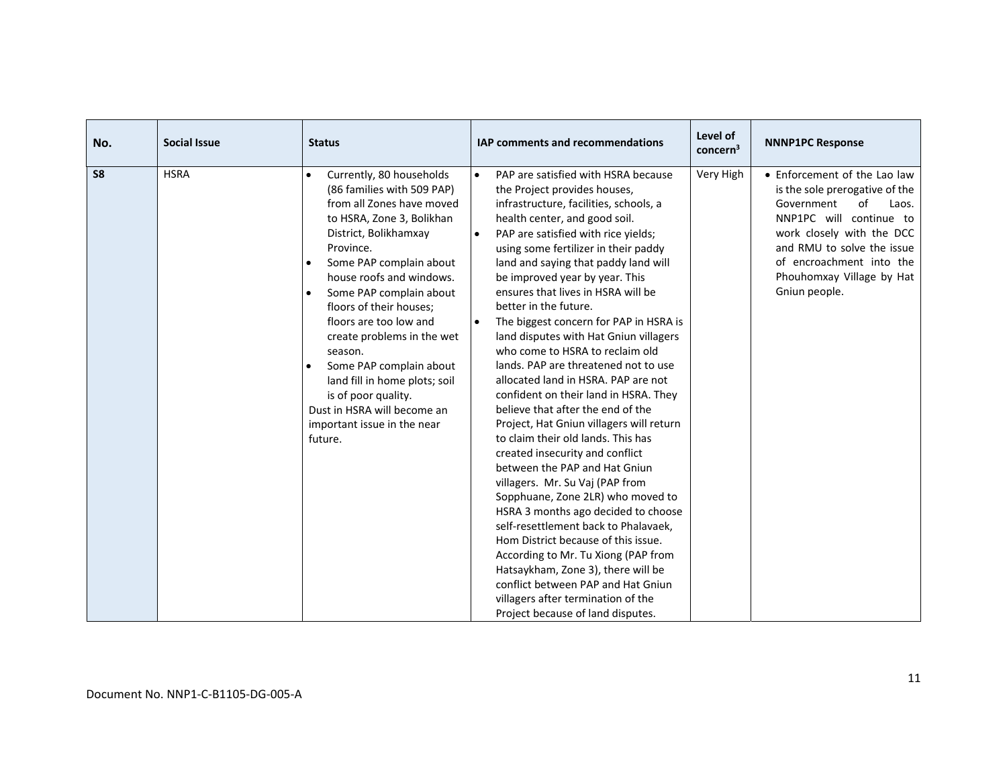| No.            | <b>Social Issue</b> | <b>Status</b>                                                                                                                                                                                                                                                                                                                                                                                                                                                                                                   | <b>IAP comments and recommendations</b>                                                                                                                                                                                                                                                                                                                                                                                                                                                                                                                                                                                                                                                                                                                                                                                                                                                                                                                                                                                                                                                                                                                                                                                                             | Level of<br>concern <sup>3</sup> | <b>NNNP1PC Response</b>                                                                                                                                                                                                                                     |
|----------------|---------------------|-----------------------------------------------------------------------------------------------------------------------------------------------------------------------------------------------------------------------------------------------------------------------------------------------------------------------------------------------------------------------------------------------------------------------------------------------------------------------------------------------------------------|-----------------------------------------------------------------------------------------------------------------------------------------------------------------------------------------------------------------------------------------------------------------------------------------------------------------------------------------------------------------------------------------------------------------------------------------------------------------------------------------------------------------------------------------------------------------------------------------------------------------------------------------------------------------------------------------------------------------------------------------------------------------------------------------------------------------------------------------------------------------------------------------------------------------------------------------------------------------------------------------------------------------------------------------------------------------------------------------------------------------------------------------------------------------------------------------------------------------------------------------------------|----------------------------------|-------------------------------------------------------------------------------------------------------------------------------------------------------------------------------------------------------------------------------------------------------------|
| S <sub>8</sub> | <b>HSRA</b>         | Currently, 80 households<br>$\bullet$<br>(86 families with 509 PAP)<br>from all Zones have moved<br>to HSRA, Zone 3, Bolikhan<br>District, Bolikhamxay<br>Province.<br>Some PAP complain about<br>house roofs and windows.<br>Some PAP complain about<br>floors of their houses;<br>floors are too low and<br>create problems in the wet<br>season.<br>Some PAP complain about<br>land fill in home plots; soil<br>is of poor quality.<br>Dust in HSRA will become an<br>important issue in the near<br>future. | PAP are satisfied with HSRA because<br>$\bullet$<br>the Project provides houses,<br>infrastructure, facilities, schools, a<br>health center, and good soil.<br>PAP are satisfied with rice yields;<br>$\bullet$<br>using some fertilizer in their paddy<br>land and saying that paddy land will<br>be improved year by year. This<br>ensures that lives in HSRA will be<br>better in the future.<br>The biggest concern for PAP in HSRA is<br>$\bullet$<br>land disputes with Hat Gniun villagers<br>who come to HSRA to reclaim old<br>lands. PAP are threatened not to use<br>allocated land in HSRA. PAP are not<br>confident on their land in HSRA. They<br>believe that after the end of the<br>Project, Hat Gniun villagers will return<br>to claim their old lands. This has<br>created insecurity and conflict<br>between the PAP and Hat Gniun<br>villagers. Mr. Su Vaj (PAP from<br>Sopphuane, Zone 2LR) who moved to<br>HSRA 3 months ago decided to choose<br>self-resettlement back to Phalavaek,<br>Hom District because of this issue.<br>According to Mr. Tu Xiong (PAP from<br>Hatsaykham, Zone 3), there will be<br>conflict between PAP and Hat Gniun<br>villagers after termination of the<br>Project because of land disputes. | Very High                        | • Enforcement of the Lao law<br>is the sole prerogative of the<br>of<br>Government<br>Laos.<br>NNP1PC will continue to<br>work closely with the DCC<br>and RMU to solve the issue<br>of encroachment into the<br>Phouhomxay Village by Hat<br>Gniun people. |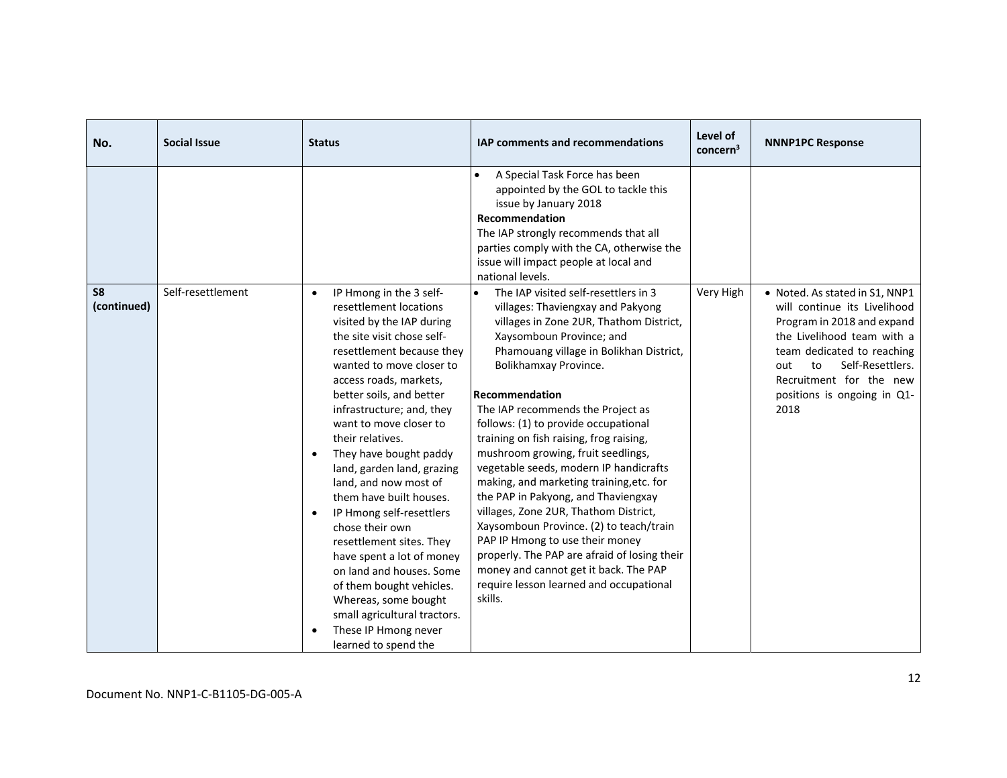| No.                           | <b>Social Issue</b> | <b>Status</b>                                                                                                                                                                                                                                                                                                                                                                                                                                                                                                                                                                                                                                                                                                                                  | <b>IAP comments and recommendations</b>                                                                                                                                                                                                                                                                                                                                                                                                                                                                                                                                                                                                                                                                                                                                                                              | Level of<br>concern <sup>3</sup> | <b>NNNP1PC Response</b>                                                                                                                                                                                                                                     |
|-------------------------------|---------------------|------------------------------------------------------------------------------------------------------------------------------------------------------------------------------------------------------------------------------------------------------------------------------------------------------------------------------------------------------------------------------------------------------------------------------------------------------------------------------------------------------------------------------------------------------------------------------------------------------------------------------------------------------------------------------------------------------------------------------------------------|----------------------------------------------------------------------------------------------------------------------------------------------------------------------------------------------------------------------------------------------------------------------------------------------------------------------------------------------------------------------------------------------------------------------------------------------------------------------------------------------------------------------------------------------------------------------------------------------------------------------------------------------------------------------------------------------------------------------------------------------------------------------------------------------------------------------|----------------------------------|-------------------------------------------------------------------------------------------------------------------------------------------------------------------------------------------------------------------------------------------------------------|
|                               |                     |                                                                                                                                                                                                                                                                                                                                                                                                                                                                                                                                                                                                                                                                                                                                                | A Special Task Force has been<br>appointed by the GOL to tackle this<br>issue by January 2018<br>Recommendation<br>The IAP strongly recommends that all<br>parties comply with the CA, otherwise the<br>issue will impact people at local and<br>national levels.                                                                                                                                                                                                                                                                                                                                                                                                                                                                                                                                                    |                                  |                                                                                                                                                                                                                                                             |
| S <sub>8</sub><br>(continued) | Self-resettlement   | IP Hmong in the 3 self-<br>$\bullet$<br>resettlement locations<br>visited by the IAP during<br>the site visit chose self-<br>resettlement because they<br>wanted to move closer to<br>access roads, markets,<br>better soils, and better<br>infrastructure; and, they<br>want to move closer to<br>their relatives.<br>They have bought paddy<br>$\bullet$<br>land, garden land, grazing<br>land, and now most of<br>them have built houses.<br>IP Hmong self-resettlers<br>$\bullet$<br>chose their own<br>resettlement sites. They<br>have spent a lot of money<br>on land and houses. Some<br>of them bought vehicles.<br>Whereas, some bought<br>small agricultural tractors.<br>These IP Hmong never<br>$\bullet$<br>learned to spend the | The IAP visited self-resettlers in 3<br>$\bullet$<br>villages: Thaviengxay and Pakyong<br>villages in Zone 2UR, Thathom District,<br>Xaysomboun Province; and<br>Phamouang village in Bolikhan District,<br>Bolikhamxay Province.<br>Recommendation<br>The IAP recommends the Project as<br>follows: (1) to provide occupational<br>training on fish raising, frog raising,<br>mushroom growing, fruit seedlings,<br>vegetable seeds, modern IP handicrafts<br>making, and marketing training, etc. for<br>the PAP in Pakyong, and Thaviengxay<br>villages, Zone 2UR, Thathom District,<br>Xaysomboun Province. (2) to teach/train<br>PAP IP Hmong to use their money<br>properly. The PAP are afraid of losing their<br>money and cannot get it back. The PAP<br>require lesson learned and occupational<br>skills. | Very High                        | • Noted. As stated in S1, NNP1<br>will continue its Livelihood<br>Program in 2018 and expand<br>the Livelihood team with a<br>team dedicated to reaching<br>Self-Resettlers.<br>out<br>to<br>Recruitment for the new<br>positions is ongoing in Q1-<br>2018 |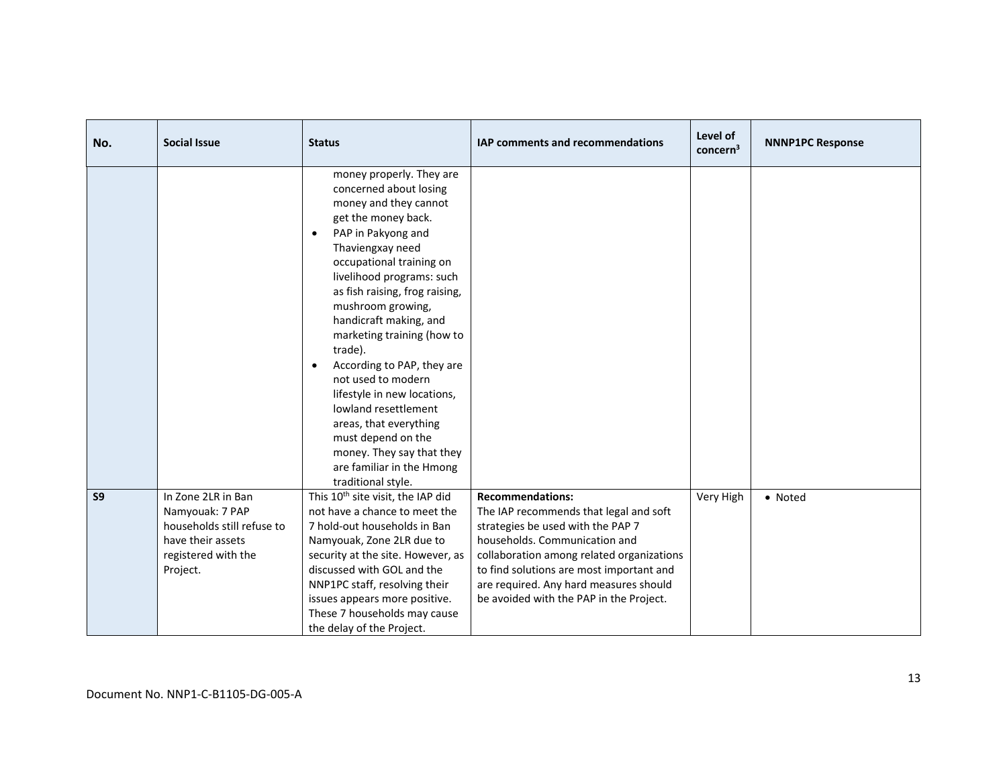| No.            | <b>Social Issue</b>                                                                                                         | <b>Status</b>                                                                                                                                                                                                                                                                                                                                                                                                                                                                                                                                                                                        | <b>IAP comments and recommendations</b>                                                                                                                                                                                                                                                                               | Level of<br>concern <sup>3</sup> | <b>NNNP1PC Response</b> |
|----------------|-----------------------------------------------------------------------------------------------------------------------------|------------------------------------------------------------------------------------------------------------------------------------------------------------------------------------------------------------------------------------------------------------------------------------------------------------------------------------------------------------------------------------------------------------------------------------------------------------------------------------------------------------------------------------------------------------------------------------------------------|-----------------------------------------------------------------------------------------------------------------------------------------------------------------------------------------------------------------------------------------------------------------------------------------------------------------------|----------------------------------|-------------------------|
|                |                                                                                                                             | money properly. They are<br>concerned about losing<br>money and they cannot<br>get the money back.<br>PAP in Pakyong and<br>$\bullet$<br>Thaviengxay need<br>occupational training on<br>livelihood programs: such<br>as fish raising, frog raising,<br>mushroom growing,<br>handicraft making, and<br>marketing training (how to<br>trade).<br>According to PAP, they are<br>$\bullet$<br>not used to modern<br>lifestyle in new locations,<br>lowland resettlement<br>areas, that everything<br>must depend on the<br>money. They say that they<br>are familiar in the Hmong<br>traditional style. |                                                                                                                                                                                                                                                                                                                       |                                  |                         |
| S <sub>9</sub> | In Zone 2LR in Ban<br>Namyouak: 7 PAP<br>households still refuse to<br>have their assets<br>registered with the<br>Project. | This 10 <sup>th</sup> site visit, the IAP did<br>not have a chance to meet the<br>7 hold-out households in Ban<br>Namyouak, Zone 2LR due to<br>security at the site. However, as<br>discussed with GOL and the<br>NNP1PC staff, resolving their<br>issues appears more positive.<br>These 7 households may cause<br>the delay of the Project.                                                                                                                                                                                                                                                        | <b>Recommendations:</b><br>The IAP recommends that legal and soft<br>strategies be used with the PAP 7<br>households. Communication and<br>collaboration among related organizations<br>to find solutions are most important and<br>are required. Any hard measures should<br>be avoided with the PAP in the Project. | Very High                        | • Noted                 |